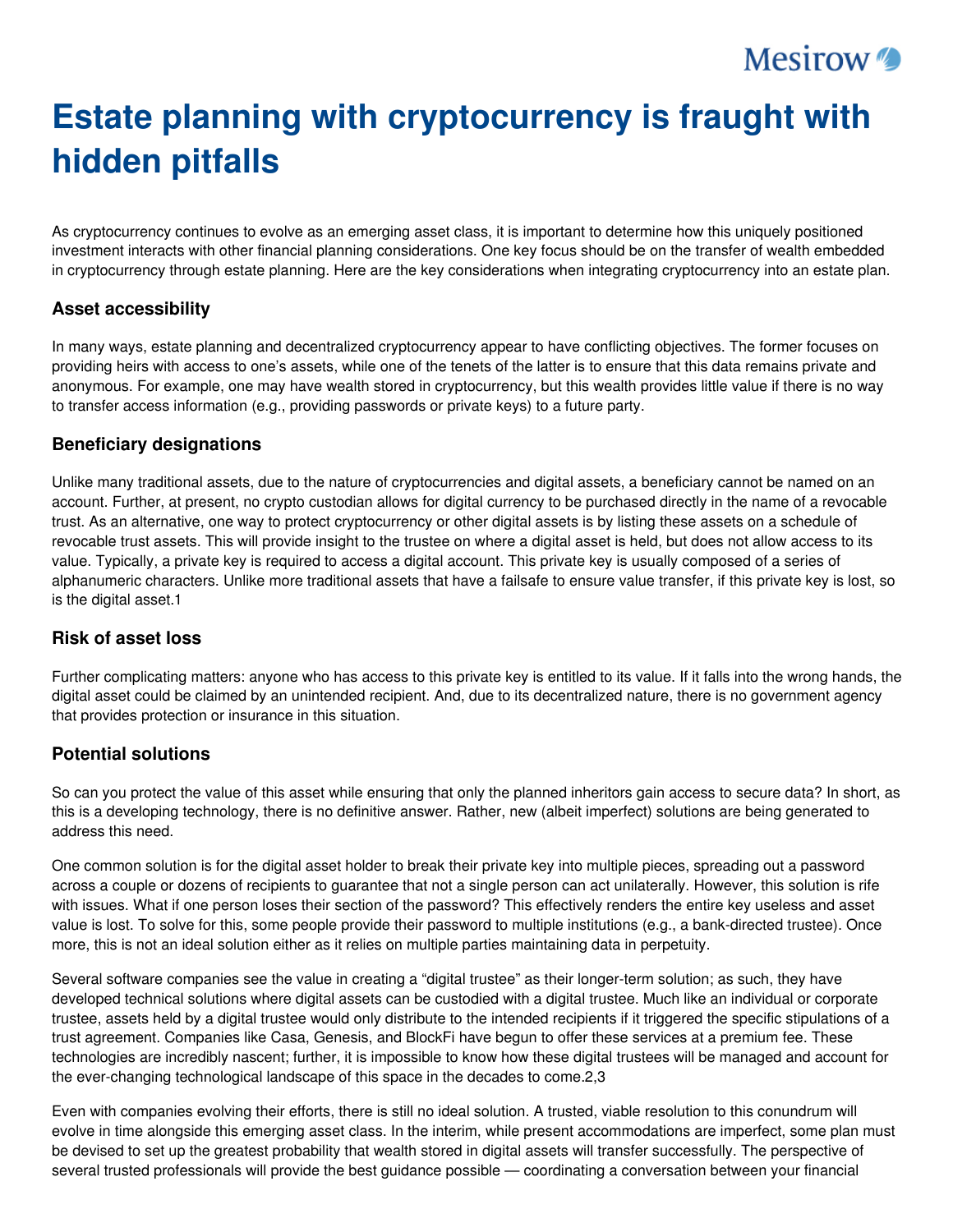## **Mesirow**

# **Estate planning with cryptocurrency is fraught with hidden pitfalls**

As cryptocurrency continues to evolve as an emerging asset class, it is important to determine how this uniquely positioned investment interacts with other financial planning considerations. One key focus should be on the transfer of wealth embedded in cryptocurrency through estate planning. Here are the key considerations when integrating cryptocurrency into an estate plan.

#### **Asset accessibility**

In many ways, estate planning and decentralized cryptocurrency appear to have conflicting objectives. The former focuses on providing heirs with access to one's assets, while one of the tenets of the latter is to ensure that this data remains private and anonymous. For example, one may have wealth stored in cryptocurrency, but this wealth provides little value if there is no way to transfer access information (e.g., providing passwords or private keys) to a future party.

#### **Beneficiary designations**

Unlike many traditional assets, due to the nature of cryptocurrencies and digital assets, a beneficiary cannot be named on an account. Further, at present, no crypto custodian allows for digital currency to be purchased directly in the name of a revocable trust. As an alternative, one way to protect cryptocurrency or other digital assets is by listing these assets on a schedule of revocable trust assets. This will provide insight to the trustee on where a digital asset is held, but does not allow access to its value. Typically, a private key is required to access a digital account. This private key is usually composed of a series of alphanumeric characters. Unlike more traditional assets that have a failsafe to ensure value transfer, if this private key is lost, so is the digital asset.1

#### **Risk of asset loss**

Further complicating matters: anyone who has access to this private key is entitled to its value. If it falls into the wrong hands, the digital asset could be claimed by an unintended recipient. And, due to its decentralized nature, there is no government agency that provides protection or insurance in this situation.

### **Potential solutions**

So can you protect the value of this asset while ensuring that only the planned inheritors gain access to secure data? In short, as this is a developing technology, there is no definitive answer. Rather, new (albeit imperfect) solutions are being generated to address this need.

One common solution is for the digital asset holder to break their private key into multiple pieces, spreading out a password across a couple or dozens of recipients to guarantee that not a single person can act unilaterally. However, this solution is rife with issues. What if one person loses their section of the password? This effectively renders the entire key useless and asset value is lost. To solve for this, some people provide their password to multiple institutions (e.g., a bank-directed trustee). Once more, this is not an ideal solution either as it relies on multiple parties maintaining data in perpetuity.

Several software companies see the value in creating a "digital trustee" as their longer-term solution; as such, they have developed technical solutions where digital assets can be custodied with a digital trustee. Much like an individual or corporate trustee, assets held by a digital trustee would only distribute to the intended recipients if it triggered the specific stipulations of a trust agreement. Companies like Casa, Genesis, and BlockFi have begun to offer these services at a premium fee. These technologies are incredibly nascent; further, it is impossible to know how these digital trustees will be managed and account for the ever-changing technological landscape of this space in the decades to come.2,3

Even with companies evolving their efforts, there is still no ideal solution. A trusted, viable resolution to this conundrum will evolve in time alongside this emerging asset class. In the interim, while present accommodations are imperfect, some plan must be devised to set up the greatest probability that wealth stored in digital assets will transfer successfully. The perspective of several trusted professionals will provide the best guidance possible — coordinating a conversation between your financial